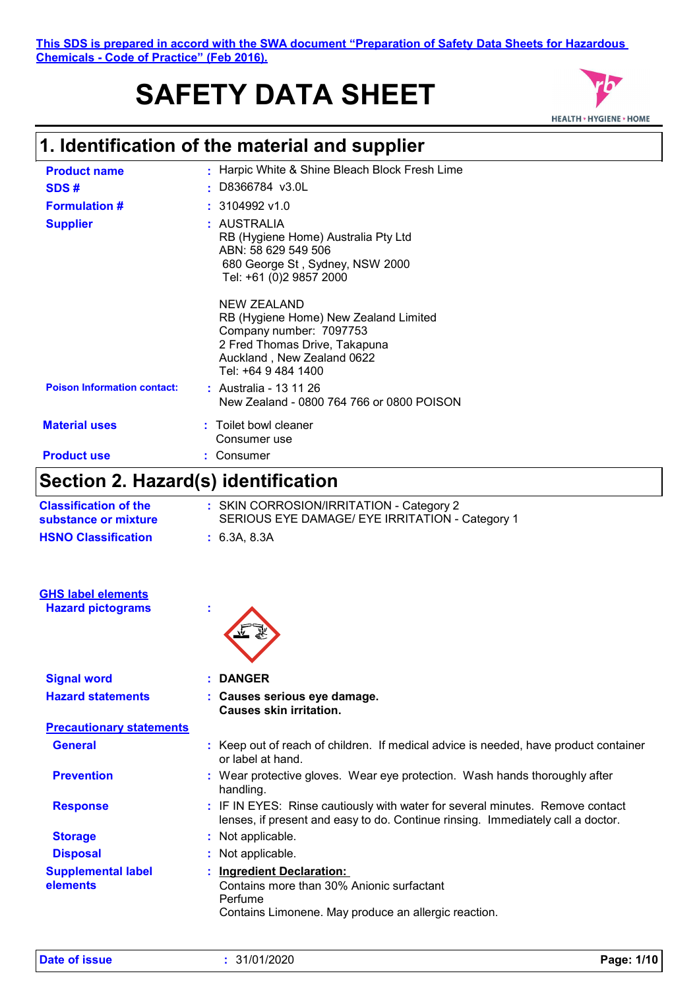# **SAFETY DATA SHEET**



| $\bigcap_{i=1}^{n}$ $\bigcup_{i=1}^{n}$ $\bigcap_{i=1}^{n}$ $\bigcap_{i=1}^{n}$ $\bigcup_{i=1}^{n}$ $\bigcup_{i=1}^{n}$ $\bigcup_{i=1}^{n}$ $\bigcup_{i=1}^{n}$ |                                                                                                                                                                       |
|-----------------------------------------------------------------------------------------------------------------------------------------------------------------|-----------------------------------------------------------------------------------------------------------------------------------------------------------------------|
| <b>Product use</b>                                                                                                                                              | : Consumer                                                                                                                                                            |
| <b>Material uses</b>                                                                                                                                            | : Toilet bowl cleaner<br>Consumer use                                                                                                                                 |
| <b>Poison Information contact:</b>                                                                                                                              | : Australia - 13 11 26<br>New Zealand - 0800 764 766 or 0800 POISON                                                                                                   |
|                                                                                                                                                                 | NEW ZEALAND<br>RB (Hygiene Home) New Zealand Limited<br>Company number: 7097753<br>2 Fred Thomas Drive, Takapuna<br>Auckland, New Zealand 0622<br>Tel: +64 9 484 1400 |
| <b>Supplier</b>                                                                                                                                                 | : AUSTRALIA<br>RB (Hygiene Home) Australia Pty Ltd<br>ABN: 58 629 549 506<br>680 George St, Sydney, NSW 2000<br>Tel: +61 (0)2 9857 2000                               |
| <b>Formulation #</b>                                                                                                                                            | $: 3104992$ v1.0                                                                                                                                                      |
| SDS#                                                                                                                                                            | $:$ D8366784 v3.0L                                                                                                                                                    |
| <b>Product name</b>                                                                                                                                             | : Harpic White & Shine Bleach Block Fresh Lime                                                                                                                        |

## **Section 2. Hazard(s) identification**

|                                                      | Section Z. Hazaru(s) Identification                                                                                                                              |
|------------------------------------------------------|------------------------------------------------------------------------------------------------------------------------------------------------------------------|
| <b>Classification of the</b><br>substance or mixture | : SKIN CORROSION/IRRITATION - Category 2<br>SERIOUS EYE DAMAGE/ EYE IRRITATION - Category 1                                                                      |
| <b>HSNO Classification</b>                           | : 6.3A, 8.3A                                                                                                                                                     |
| <b>GHS label elements</b>                            |                                                                                                                                                                  |
| <b>Hazard pictograms</b>                             |                                                                                                                                                                  |
| <b>Signal word</b>                                   | <b>DANGER</b>                                                                                                                                                    |
| <b>Hazard statements</b>                             | : Causes serious eye damage.<br><b>Causes skin irritation.</b>                                                                                                   |
| <b>Precautionary statements</b>                      |                                                                                                                                                                  |
| <b>General</b>                                       | : Keep out of reach of children. If medical advice is needed, have product container<br>or label at hand.                                                        |
| <b>Prevention</b>                                    | : Wear protective gloves. Wear eye protection. Wash hands thoroughly after<br>handling.                                                                          |
| <b>Response</b>                                      | : IF IN EYES: Rinse cautiously with water for several minutes. Remove contact<br>lenses, if present and easy to do. Continue rinsing. Immediately call a doctor. |
| <b>Storage</b>                                       | : Not applicable.                                                                                                                                                |
| <b>Disposal</b>                                      | : Not applicable.                                                                                                                                                |
| <b>Supplemental label</b><br>elements                | <b>Ingredient Declaration:</b><br>Contains more than 30% Anionic surfactant<br>Perfume<br>Contains Limonene. May produce an allergic reaction.                   |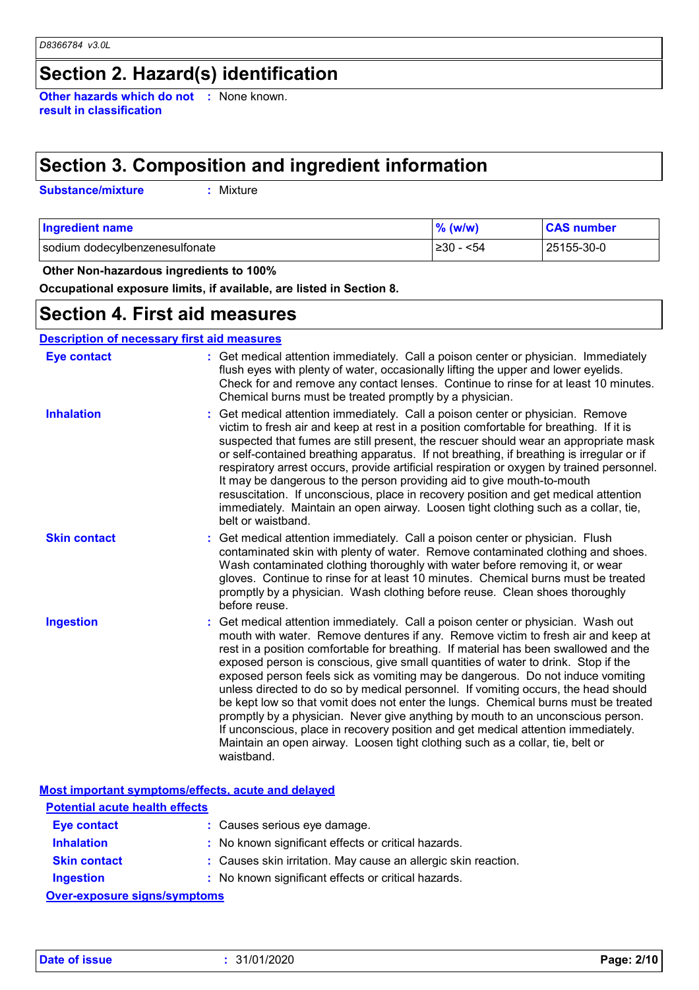### **Section 2. Hazard(s) identification**

**Other hazards which do not :** None known. **result in classification**

### **Section 3. Composition and ingredient information**

**Substance/mixture :**

: Mixture

| <b>Ingredient name</b>         | $%$ (w/w)     | <b>CAS number</b> |
|--------------------------------|---------------|-------------------|
| sodium dodecylbenzenesulfonate | ≥30 -<br>< 54 | 25155-30-0        |

 **Other Non-hazardous ingredients to 100%**

**Occupational exposure limits, if available, are listed in Section 8.**

### **Section 4. First aid measures**

#### **Description of necessary first aid measures**

| <b>Eye contact</b>  | : Get medical attention immediately. Call a poison center or physician. Immediately<br>flush eyes with plenty of water, occasionally lifting the upper and lower eyelids.<br>Check for and remove any contact lenses. Continue to rinse for at least 10 minutes.<br>Chemical burns must be treated promptly by a physician.                                                                                                                                                                                                                                                                                                                                                                                                                                                                                                                                                          |
|---------------------|--------------------------------------------------------------------------------------------------------------------------------------------------------------------------------------------------------------------------------------------------------------------------------------------------------------------------------------------------------------------------------------------------------------------------------------------------------------------------------------------------------------------------------------------------------------------------------------------------------------------------------------------------------------------------------------------------------------------------------------------------------------------------------------------------------------------------------------------------------------------------------------|
| <b>Inhalation</b>   | Get medical attention immediately. Call a poison center or physician. Remove<br>victim to fresh air and keep at rest in a position comfortable for breathing. If it is<br>suspected that fumes are still present, the rescuer should wear an appropriate mask<br>or self-contained breathing apparatus. If not breathing, if breathing is irregular or if<br>respiratory arrest occurs, provide artificial respiration or oxygen by trained personnel.<br>It may be dangerous to the person providing aid to give mouth-to-mouth<br>resuscitation. If unconscious, place in recovery position and get medical attention<br>immediately. Maintain an open airway. Loosen tight clothing such as a collar, tie,<br>belt or waistband.                                                                                                                                                  |
| <b>Skin contact</b> | Get medical attention immediately. Call a poison center or physician. Flush<br>contaminated skin with plenty of water. Remove contaminated clothing and shoes.<br>Wash contaminated clothing thoroughly with water before removing it, or wear<br>gloves. Continue to rinse for at least 10 minutes. Chemical burns must be treated<br>promptly by a physician. Wash clothing before reuse. Clean shoes thoroughly<br>before reuse.                                                                                                                                                                                                                                                                                                                                                                                                                                                  |
| <b>Ingestion</b>    | Get medical attention immediately. Call a poison center or physician. Wash out<br>mouth with water. Remove dentures if any. Remove victim to fresh air and keep at<br>rest in a position comfortable for breathing. If material has been swallowed and the<br>exposed person is conscious, give small quantities of water to drink. Stop if the<br>exposed person feels sick as vomiting may be dangerous. Do not induce vomiting<br>unless directed to do so by medical personnel. If vomiting occurs, the head should<br>be kept low so that vomit does not enter the lungs. Chemical burns must be treated<br>promptly by a physician. Never give anything by mouth to an unconscious person.<br>If unconscious, place in recovery position and get medical attention immediately.<br>Maintain an open airway. Loosen tight clothing such as a collar, tie, belt or<br>waistband. |

**Most important symptoms/effects, acute and delayed**

| <b>Potential acute health effects</b> |                                                                |
|---------------------------------------|----------------------------------------------------------------|
| Eye contact                           | : Causes serious eye damage.                                   |
| <b>Inhalation</b>                     | : No known significant effects or critical hazards.            |
| <b>Skin contact</b>                   | : Causes skin irritation. May cause an allergic skin reaction. |
| <b>Ingestion</b>                      | : No known significant effects or critical hazards.            |
| Over-exposure signs/symptoms          |                                                                |

**Over-exposure signs/symptoms**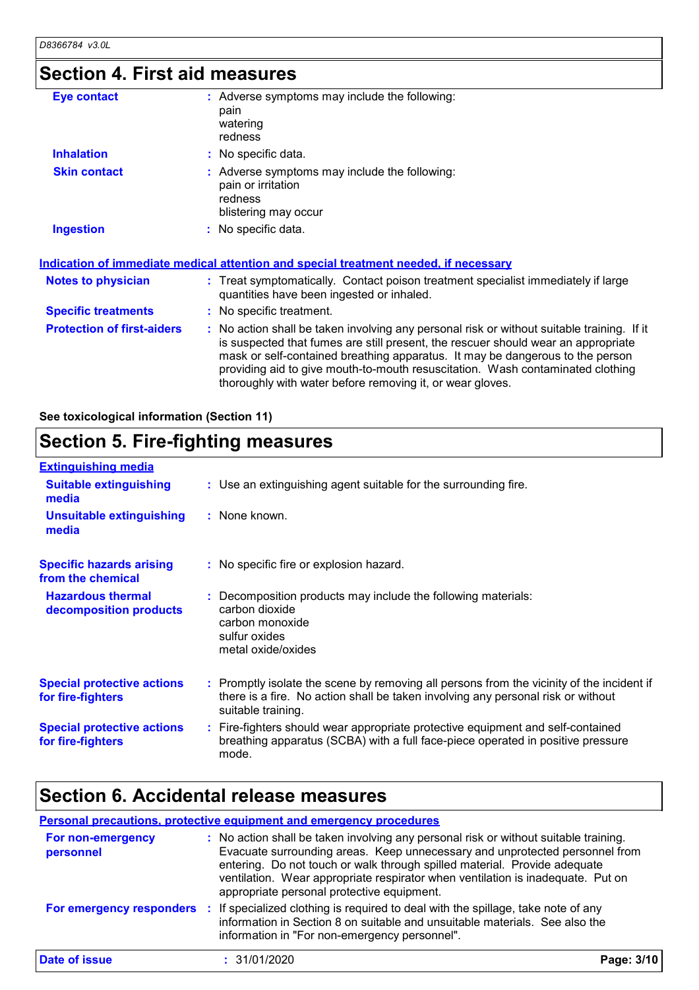### **Section 4. First aid measures**

| Eye contact                       | : Adverse symptoms may include the following:<br>pain<br>watering<br>redness                                                                                                                                                                                                                                                                                                                                    |
|-----------------------------------|-----------------------------------------------------------------------------------------------------------------------------------------------------------------------------------------------------------------------------------------------------------------------------------------------------------------------------------------------------------------------------------------------------------------|
| <b>Inhalation</b>                 | : No specific data.                                                                                                                                                                                                                                                                                                                                                                                             |
| <b>Skin contact</b>               | : Adverse symptoms may include the following:<br>pain or irritation<br>redness<br>blistering may occur                                                                                                                                                                                                                                                                                                          |
| <b>Ingestion</b>                  | : No specific data.                                                                                                                                                                                                                                                                                                                                                                                             |
|                                   | <u>Indication of immediate medical attention and special treatment needed, if necessary</u>                                                                                                                                                                                                                                                                                                                     |
| Notes to physician                | : Treat symptomatically. Contact poison treatment specialist immediately if large<br>quantities have been ingested or inhaled.                                                                                                                                                                                                                                                                                  |
| <b>Specific treatments</b>        | : No specific treatment.                                                                                                                                                                                                                                                                                                                                                                                        |
| <b>Protection of first-aiders</b> | : No action shall be taken involving any personal risk or without suitable training. If it<br>is suspected that fumes are still present, the rescuer should wear an appropriate<br>mask or self-contained breathing apparatus. It may be dangerous to the person<br>providing aid to give mouth-to-mouth resuscitation. Wash contaminated clothing<br>thoroughly with water before removing it, or wear gloves. |

**See toxicological information (Section 11)**

### **Section 5. Fire-fighting measures**

| <b>Extinguishing media</b>                             |                                                                                                                                                                                                     |
|--------------------------------------------------------|-----------------------------------------------------------------------------------------------------------------------------------------------------------------------------------------------------|
| <b>Suitable extinguishing</b><br>media                 | : Use an extinguishing agent suitable for the surrounding fire.                                                                                                                                     |
| <b>Unsuitable extinguishing</b><br>media               | : None known.                                                                                                                                                                                       |
| <b>Specific hazards arising</b><br>from the chemical   | : No specific fire or explosion hazard.                                                                                                                                                             |
| <b>Hazardous thermal</b><br>decomposition products     | Decomposition products may include the following materials:<br>carbon dioxide<br>carbon monoxide<br>sulfur oxides<br>metal oxide/oxides                                                             |
| <b>Special protective actions</b><br>for fire-fighters | : Promptly isolate the scene by removing all persons from the vicinity of the incident if<br>there is a fire. No action shall be taken involving any personal risk or without<br>suitable training. |
| <b>Special protective actions</b><br>for fire-fighters | : Fire-fighters should wear appropriate protective equipment and self-contained<br>breathing apparatus (SCBA) with a full face-piece operated in positive pressure<br>mode.                         |

### **Section 6. Accidental release measures**

#### **Personal precautions, protective equipment and emergency procedures**

| For non-emergency<br>personnel | : No action shall be taken involving any personal risk or without suitable training.<br>Evacuate surrounding areas. Keep unnecessary and unprotected personnel from<br>entering. Do not touch or walk through spilled material. Provide adequate<br>ventilation. Wear appropriate respirator when ventilation is inadequate. Put on<br>appropriate personal protective equipment. |            |
|--------------------------------|-----------------------------------------------------------------------------------------------------------------------------------------------------------------------------------------------------------------------------------------------------------------------------------------------------------------------------------------------------------------------------------|------------|
| For emergency responders       | : If specialized clothing is required to deal with the spillage, take note of any<br>information in Section 8 on suitable and unsuitable materials. See also the<br>information in "For non-emergency personnel".                                                                                                                                                                 |            |
| Date of issue                  | : 31/01/2020                                                                                                                                                                                                                                                                                                                                                                      | Page: 3/10 |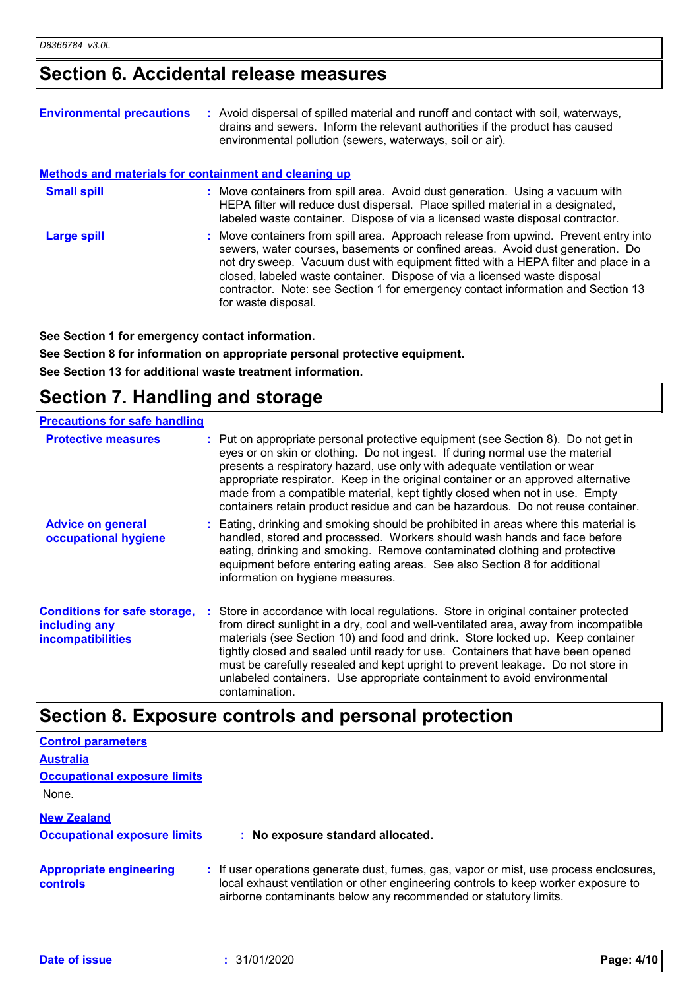### **Section 6. Accidental release measures**

| <b>Environmental precautions</b>                             | : Avoid dispersal of spilled material and runoff and contact with soil, waterways,<br>drains and sewers. Inform the relevant authorities if the product has caused<br>environmental pollution (sewers, waterways, soil or air).                                                                                                                                                                                                                    |
|--------------------------------------------------------------|----------------------------------------------------------------------------------------------------------------------------------------------------------------------------------------------------------------------------------------------------------------------------------------------------------------------------------------------------------------------------------------------------------------------------------------------------|
| <b>Methods and materials for containment and cleaning up</b> |                                                                                                                                                                                                                                                                                                                                                                                                                                                    |
| <b>Small spill</b>                                           | : Move containers from spill area. Avoid dust generation. Using a vacuum with<br>HEPA filter will reduce dust dispersal. Place spilled material in a designated,<br>labeled waste container. Dispose of via a licensed waste disposal contractor.                                                                                                                                                                                                  |
| Large spill                                                  | : Move containers from spill area. Approach release from upwind. Prevent entry into<br>sewers, water courses, basements or confined areas. Avoid dust generation. Do<br>not dry sweep. Vacuum dust with equipment fitted with a HEPA filter and place in a<br>closed, labeled waste container. Dispose of via a licensed waste disposal<br>contractor. Note: see Section 1 for emergency contact information and Section 13<br>for waste disposal. |

**See Section 1 for emergency contact information.**

**See Section 8 for information on appropriate personal protective equipment. See Section 13 for additional waste treatment information.**

### **Section 7. Handling and storage**

| <b>Precautions for safe handling</b>                                             |                                                                                                                                                                                                                                                                                                                                                                                                                                                                                                                                   |
|----------------------------------------------------------------------------------|-----------------------------------------------------------------------------------------------------------------------------------------------------------------------------------------------------------------------------------------------------------------------------------------------------------------------------------------------------------------------------------------------------------------------------------------------------------------------------------------------------------------------------------|
| <b>Protective measures</b>                                                       | : Put on appropriate personal protective equipment (see Section 8). Do not get in<br>eyes or on skin or clothing. Do not ingest. If during normal use the material<br>presents a respiratory hazard, use only with adequate ventilation or wear<br>appropriate respirator. Keep in the original container or an approved alternative<br>made from a compatible material, kept tightly closed when not in use. Empty<br>containers retain product residue and can be hazardous. Do not reuse container.                            |
| <b>Advice on general</b><br>occupational hygiene                                 | : Eating, drinking and smoking should be prohibited in areas where this material is<br>handled, stored and processed. Workers should wash hands and face before<br>eating, drinking and smoking. Remove contaminated clothing and protective<br>equipment before entering eating areas. See also Section 8 for additional<br>information on hygiene measures.                                                                                                                                                                     |
| <b>Conditions for safe storage,</b><br>including any<br><b>incompatibilities</b> | : Store in accordance with local regulations. Store in original container protected<br>from direct sunlight in a dry, cool and well-ventilated area, away from incompatible<br>materials (see Section 10) and food and drink. Store locked up. Keep container<br>tightly closed and sealed until ready for use. Containers that have been opened<br>must be carefully resealed and kept upright to prevent leakage. Do not store in<br>unlabeled containers. Use appropriate containment to avoid environmental<br>contamination. |

### **Section 8. Exposure controls and personal protection**

| <b>Control parameters</b>                  |                                                                                                                                                                                                                                                  |
|--------------------------------------------|--------------------------------------------------------------------------------------------------------------------------------------------------------------------------------------------------------------------------------------------------|
| <b>Australia</b>                           |                                                                                                                                                                                                                                                  |
| <b>Occupational exposure limits</b>        |                                                                                                                                                                                                                                                  |
| None.                                      |                                                                                                                                                                                                                                                  |
| <b>New Zealand</b>                         |                                                                                                                                                                                                                                                  |
| <b>Occupational exposure limits</b>        | : No exposure standard allocated.                                                                                                                                                                                                                |
| <b>Appropriate engineering</b><br>controls | : If user operations generate dust, fumes, gas, vapor or mist, use process enclosures,<br>local exhaust ventilation or other engineering controls to keep worker exposure to<br>airborne contaminants below any recommended or statutory limits. |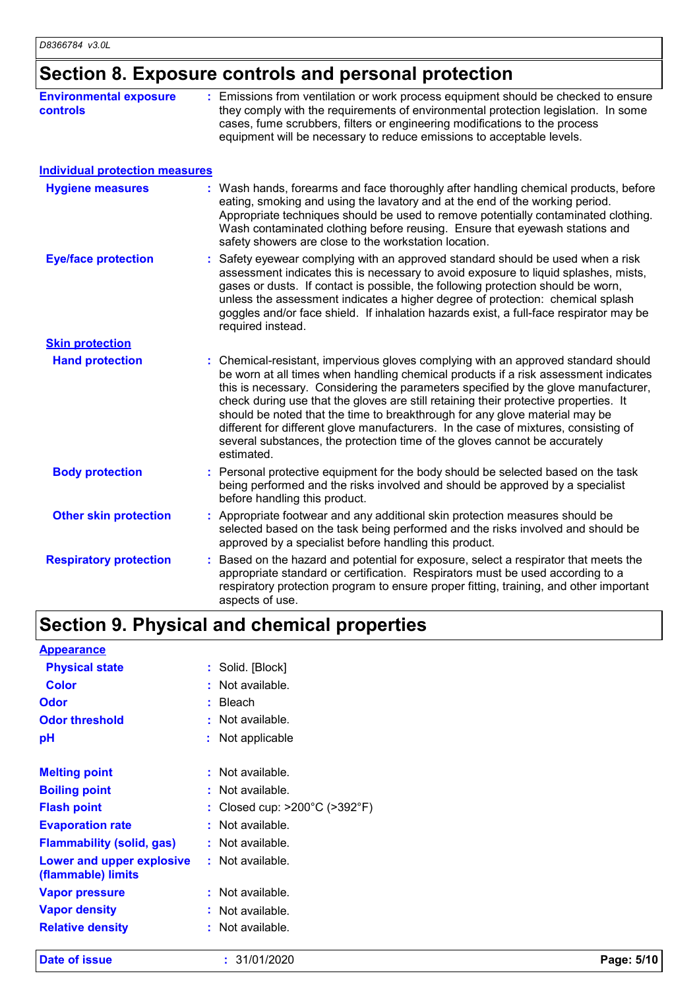### **Section 8. Exposure controls and personal protection**

| <b>Environmental exposure</b><br><b>controls</b> | : Emissions from ventilation or work process equipment should be checked to ensure<br>they comply with the requirements of environmental protection legislation. In some<br>cases, fume scrubbers, filters or engineering modifications to the process<br>equipment will be necessary to reduce emissions to acceptable levels.                                                                                                                                                                                                                                                                                           |
|--------------------------------------------------|---------------------------------------------------------------------------------------------------------------------------------------------------------------------------------------------------------------------------------------------------------------------------------------------------------------------------------------------------------------------------------------------------------------------------------------------------------------------------------------------------------------------------------------------------------------------------------------------------------------------------|
| <b>Individual protection measures</b>            |                                                                                                                                                                                                                                                                                                                                                                                                                                                                                                                                                                                                                           |
| <b>Hygiene measures</b>                          | : Wash hands, forearms and face thoroughly after handling chemical products, before<br>eating, smoking and using the lavatory and at the end of the working period.<br>Appropriate techniques should be used to remove potentially contaminated clothing.<br>Wash contaminated clothing before reusing. Ensure that eyewash stations and<br>safety showers are close to the workstation location.                                                                                                                                                                                                                         |
| <b>Eye/face protection</b>                       | Safety eyewear complying with an approved standard should be used when a risk<br>assessment indicates this is necessary to avoid exposure to liquid splashes, mists,<br>gases or dusts. If contact is possible, the following protection should be worn,<br>unless the assessment indicates a higher degree of protection: chemical splash<br>goggles and/or face shield. If inhalation hazards exist, a full-face respirator may be<br>required instead.                                                                                                                                                                 |
| <b>Skin protection</b>                           |                                                                                                                                                                                                                                                                                                                                                                                                                                                                                                                                                                                                                           |
| <b>Hand protection</b>                           | : Chemical-resistant, impervious gloves complying with an approved standard should<br>be worn at all times when handling chemical products if a risk assessment indicates<br>this is necessary. Considering the parameters specified by the glove manufacturer,<br>check during use that the gloves are still retaining their protective properties. It<br>should be noted that the time to breakthrough for any glove material may be<br>different for different glove manufacturers. In the case of mixtures, consisting of<br>several substances, the protection time of the gloves cannot be accurately<br>estimated. |
| <b>Body protection</b>                           | : Personal protective equipment for the body should be selected based on the task<br>being performed and the risks involved and should be approved by a specialist<br>before handling this product.                                                                                                                                                                                                                                                                                                                                                                                                                       |
| <b>Other skin protection</b>                     | : Appropriate footwear and any additional skin protection measures should be<br>selected based on the task being performed and the risks involved and should be<br>approved by a specialist before handling this product.                                                                                                                                                                                                                                                                                                                                                                                                 |
| <b>Respiratory protection</b>                    | Based on the hazard and potential for exposure, select a respirator that meets the<br>appropriate standard or certification. Respirators must be used according to a<br>respiratory protection program to ensure proper fitting, training, and other important<br>aspects of use.                                                                                                                                                                                                                                                                                                                                         |

## **Section 9. Physical and chemical properties**

| <b>Appearance</b>                               |                                                    |
|-------------------------------------------------|----------------------------------------------------|
| <b>Physical state</b>                           | : Solid. [Block]                                   |
| <b>Color</b>                                    | : Not available.                                   |
| <b>Odor</b>                                     | : Bleach                                           |
| <b>Odor threshold</b>                           | : Not available.                                   |
| рH                                              | : Not applicable                                   |
| <b>Melting point</b>                            | : Not available.                                   |
| <b>Boiling point</b>                            | : Not available.                                   |
| <b>Flash point</b>                              | : Closed cup: $>200^{\circ}$ C ( $>392^{\circ}$ F) |
| <b>Evaporation rate</b>                         | : Not available.                                   |
| <b>Flammability (solid, gas)</b>                | : Not available.                                   |
| Lower and upper explosive<br>(flammable) limits | : Not available.                                   |
| <b>Vapor pressure</b>                           | : Not available.                                   |
| <b>Vapor density</b>                            | : Not available.                                   |
| <b>Relative density</b>                         | : Not available.                                   |

**Date of issue :** 31/01/2020 **Page: 5/10**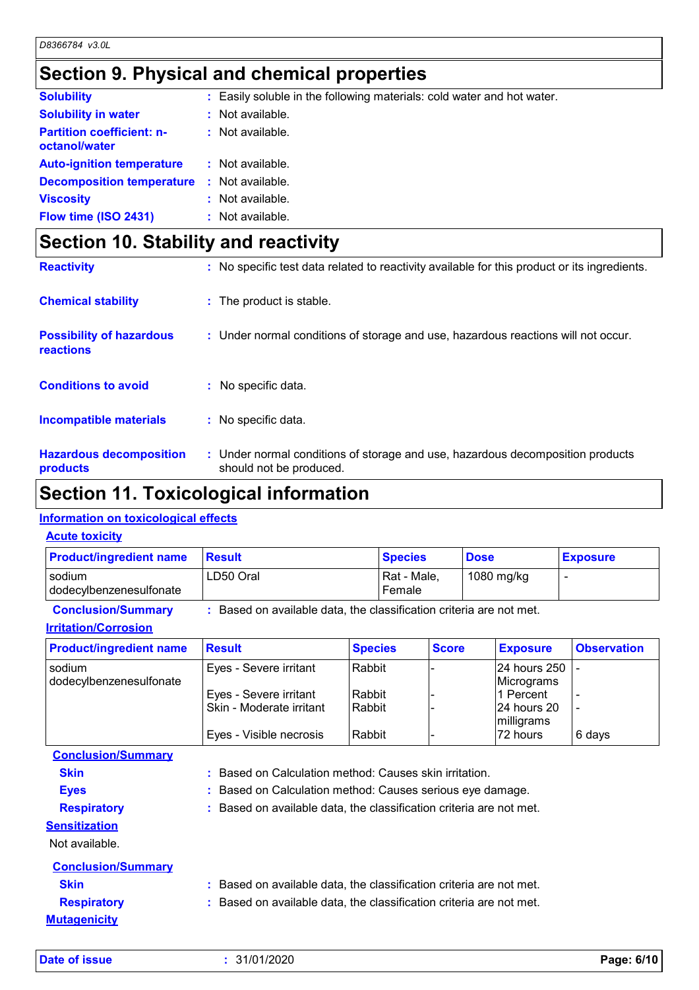### **Section 9. Physical and chemical properties**

| <b>Solubility</b>                                 |    | : Easily soluble in the following materials: cold water and hot water. |
|---------------------------------------------------|----|------------------------------------------------------------------------|
| <b>Solubility in water</b>                        |    | $:$ Not available.                                                     |
| <b>Partition coefficient: n-</b><br>octanol/water |    | $:$ Not available.                                                     |
| <b>Auto-ignition temperature</b>                  |    | $:$ Not available.                                                     |
| <b>Decomposition temperature</b>                  | Æ. | Not available.                                                         |
| <b>Viscosity</b>                                  |    | Not available.                                                         |
| Flow time (ISO 2431)                              |    | Not available.                                                         |

### **Section 10. Stability and reactivity**

|                                              | .                                                                                                         |
|----------------------------------------------|-----------------------------------------------------------------------------------------------------------|
| <b>Hazardous decomposition</b><br>products   | : Under normal conditions of storage and use, hazardous decomposition products<br>should not be produced. |
| <b>Incompatible materials</b>                | : No specific data.                                                                                       |
| <b>Conditions to avoid</b>                   | : No specific data.                                                                                       |
| <b>Possibility of hazardous</b><br>reactions | : Under normal conditions of storage and use, hazardous reactions will not occur.                         |
| <b>Chemical stability</b>                    | : The product is stable.                                                                                  |
| <b>Reactivity</b>                            | : No specific test data related to reactivity available for this product or its ingredients.              |

### **Section 11. Toxicological information**

### **Information on toxicological effects**

| <b>Acute toxicity</b>             |                                                                     |                       |             |                 |
|-----------------------------------|---------------------------------------------------------------------|-----------------------|-------------|-----------------|
| <b>Product/ingredient name</b>    | <b>Result</b>                                                       | <b>Species</b>        | <b>Dose</b> | <b>Exposure</b> |
| sodium<br>dodecylbenzenesulfonate | LD50 Oral                                                           | Rat - Male,<br>Female | 1080 mg/kg  |                 |
| <b>Conclusion/Summary</b>         | : Based on available data, the classification criteria are not met. |                       |             |                 |

|  | <u> Irritation/Corrosion</u> |  |
|--|------------------------------|--|

| <b>Product/ingredient name</b>    | <b>Result</b>            | <b>Species</b> | <b>Score</b> | <b>Exposure</b>            | <b>Observation</b> |
|-----------------------------------|--------------------------|----------------|--------------|----------------------------|--------------------|
| sodium<br>dodecylbenzenesulfonate | Eyes - Severe irritant   | Rabbit         |              | 24 hours 250<br>Micrograms |                    |
|                                   | Eyes - Severe irritant   | Rabbit         |              | l1 Percent                 |                    |
|                                   | Skin - Moderate irritant | Rabbit         |              | 24 hours 20<br>milligrams  |                    |
|                                   | Eyes - Visible necrosis  | Rabbit         |              | 72 hours                   | 6 days             |

| <b>Conclusion/Summary</b> |                                                                     |
|---------------------------|---------------------------------------------------------------------|
| <b>Skin</b>               | : Based on Calculation method: Causes skin irritation.              |
| <b>Eyes</b>               | : Based on Calculation method: Causes serious eye damage.           |
| <b>Respiratory</b>        | : Based on available data, the classification criteria are not met. |
| <b>Sensitization</b>      |                                                                     |
| Not available.            |                                                                     |
| <b>Conclusion/Summary</b> |                                                                     |
| <b>Skin</b>               | : Based on available data, the classification criteria are not met. |
| <b>Respiratory</b>        | : Based on available data, the classification criteria are not met. |
| <b>Mutagenicity</b>       |                                                                     |
|                           |                                                                     |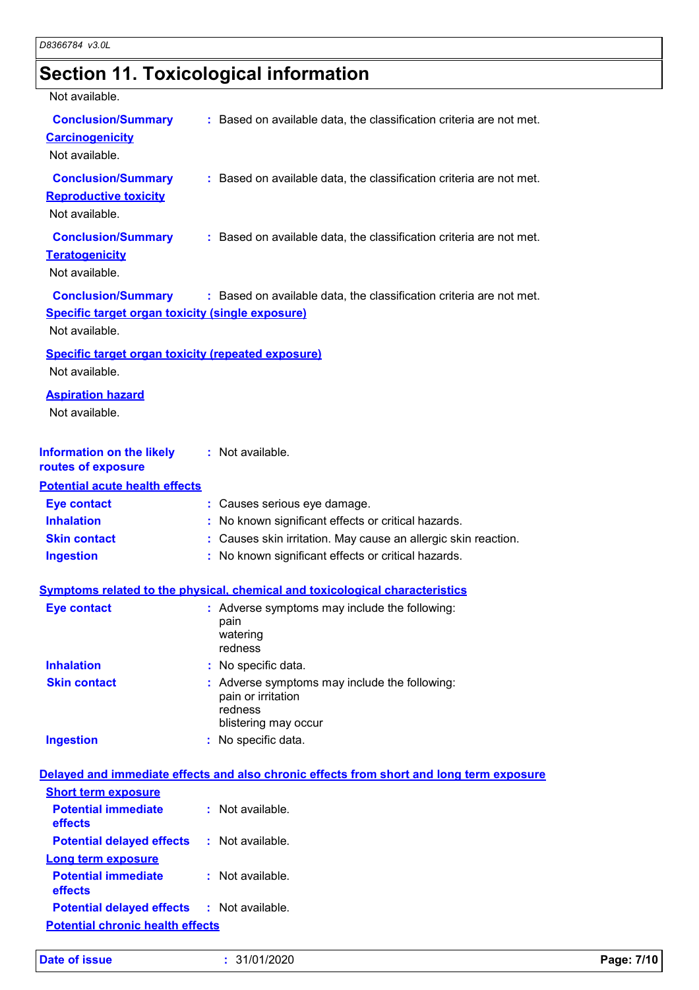# **Section 11. Toxicological information**

| Not available.                                                                                  |                                                                                                        |
|-------------------------------------------------------------------------------------------------|--------------------------------------------------------------------------------------------------------|
| <b>Conclusion/Summary</b><br><b>Carcinogenicity</b><br>Not available.                           | : Based on available data, the classification criteria are not met.                                    |
| <b>Conclusion/Summary</b><br><b>Reproductive toxicity</b><br>Not available.                     | : Based on available data, the classification criteria are not met.                                    |
| <b>Conclusion/Summary</b><br><b>Teratogenicity</b><br>Not available.                            | : Based on available data, the classification criteria are not met.                                    |
| <b>Conclusion/Summary</b><br>Specific target organ toxicity (single exposure)<br>Not available. | : Based on available data, the classification criteria are not met.                                    |
| <b>Specific target organ toxicity (repeated exposure)</b><br>Not available.                     |                                                                                                        |
| <b>Aspiration hazard</b><br>Not available.                                                      |                                                                                                        |
| <b>Information on the likely</b><br>routes of exposure                                          | : Not available.                                                                                       |
| <b>Potential acute health effects</b>                                                           |                                                                                                        |
| <b>Eye contact</b>                                                                              | : Causes serious eye damage.                                                                           |
| <b>Inhalation</b>                                                                               | : No known significant effects or critical hazards.                                                    |
| <b>Skin contact</b>                                                                             | : Causes skin irritation. May cause an allergic skin reaction.                                         |
| <b>Ingestion</b>                                                                                | : No known significant effects or critical hazards.                                                    |
|                                                                                                 | <b>Symptoms related to the physical, chemical and toxicological characteristics</b>                    |
| <b>Eye contact</b>                                                                              | : Adverse symptoms may include the following:                                                          |
|                                                                                                 | pain<br>watering<br>redness                                                                            |
| <b>Inhalation</b>                                                                               | : No specific data.                                                                                    |
| <b>Skin contact</b>                                                                             | : Adverse symptoms may include the following:<br>pain or irritation<br>redness<br>blistering may occur |
| <b>Ingestion</b>                                                                                | : No specific data.                                                                                    |
|                                                                                                 | Delayed and immediate effects and also chronic effects from short and long term exposure               |
| <b>Short term exposure</b>                                                                      |                                                                                                        |
| <b>Potential immediate</b>                                                                      | : Not available.                                                                                       |
| effects                                                                                         |                                                                                                        |
| <b>Potential delayed effects</b>                                                                | : Not available.                                                                                       |
| <b>Long term exposure</b>                                                                       |                                                                                                        |
| <b>Potential immediate</b><br>effects                                                           | : Not available.                                                                                       |
| <b>Potential delayed effects</b>                                                                | : Not available.                                                                                       |
| <b>Potential chronic health effects</b>                                                         |                                                                                                        |
|                                                                                                 |                                                                                                        |

|  | <b>Date of issue</b> |  |  |
|--|----------------------|--|--|
|  |                      |  |  |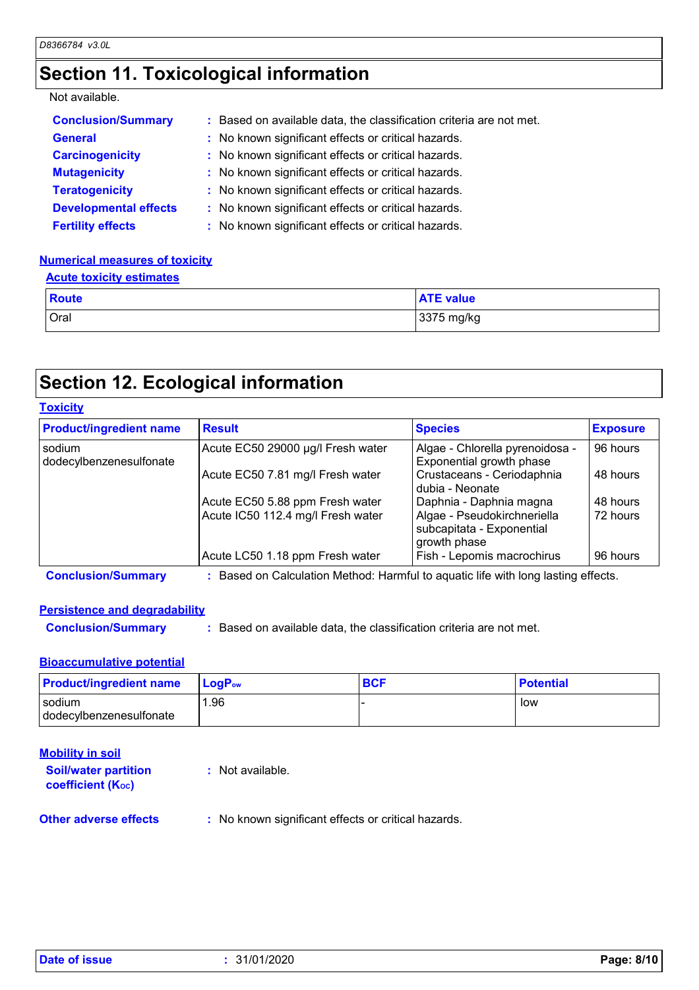### **Section 11. Toxicological information**

#### Not available.

| <b>Conclusion/Summary</b>    | : Based on available data, the classification criteria are not met. |
|------------------------------|---------------------------------------------------------------------|
| <b>General</b>               | : No known significant effects or critical hazards.                 |
| <b>Carcinogenicity</b>       | : No known significant effects or critical hazards.                 |
| <b>Mutagenicity</b>          | : No known significant effects or critical hazards.                 |
| <b>Teratogenicity</b>        | : No known significant effects or critical hazards.                 |
| <b>Developmental effects</b> | : No known significant effects or critical hazards.                 |
| <b>Fertility effects</b>     | : No known significant effects or critical hazards.                 |

#### **Numerical measures of toxicity**

| <b>Acute toxicity estimates</b> |                  |
|---------------------------------|------------------|
| <b>Route</b>                    | <b>ATE value</b> |
| Oral                            | 3375 mg/kg       |

### **Section 12. Ecological information**

#### **Toxicity**

| <b>Product/ingredient name</b>    | <b>Result</b>                     | <b>Species</b>                                                           | <b>Exposure</b> |
|-----------------------------------|-----------------------------------|--------------------------------------------------------------------------|-----------------|
| sodium<br>dodecylbenzenesulfonate | Acute EC50 29000 µg/l Fresh water | Algae - Chlorella pyrenoidosa -<br>Exponential growth phase              | 96 hours        |
|                                   | Acute EC50 7.81 mg/l Fresh water  | Crustaceans - Ceriodaphnia<br>dubia - Neonate                            | 48 hours        |
|                                   | Acute EC50 5.88 ppm Fresh water   | Daphnia - Daphnia magna                                                  | 48 hours        |
|                                   | Acute IC50 112.4 mg/l Fresh water | Algae - Pseudokirchneriella<br>subcapitata - Exponential<br>growth phase | 72 hours        |
|                                   | Acute LC50 1.18 ppm Fresh water   | Fish - Lepomis macrochirus                                               | 96 hours        |

**Conclusion/Summary :** Based on Calculation Method: Harmful to aquatic life with long lasting effects.

### **Persistence and degradability**

**Conclusion/Summary :** Based on available data, the classification criteria are not met.

### **Bioaccumulative potential**

| <b>Product/ingredient name</b>    | <b>LogP</b> <sub>ow</sub> | <b>BCF</b> | <b>Potential</b> |
|-----------------------------------|---------------------------|------------|------------------|
| sodium<br>dodecylbenzenesulfonate | . 96.                     |            | low              |

| <b>Mobility in soil</b>                               |                               |
|-------------------------------------------------------|-------------------------------|
| <b>Soil/water partition</b><br>coefficient $(K_{oc})$ | : Not available.              |
| Other adverse offects                                 | . No known cianificant affect |

**Other adverse effects** : No known significant effects or critical hazards.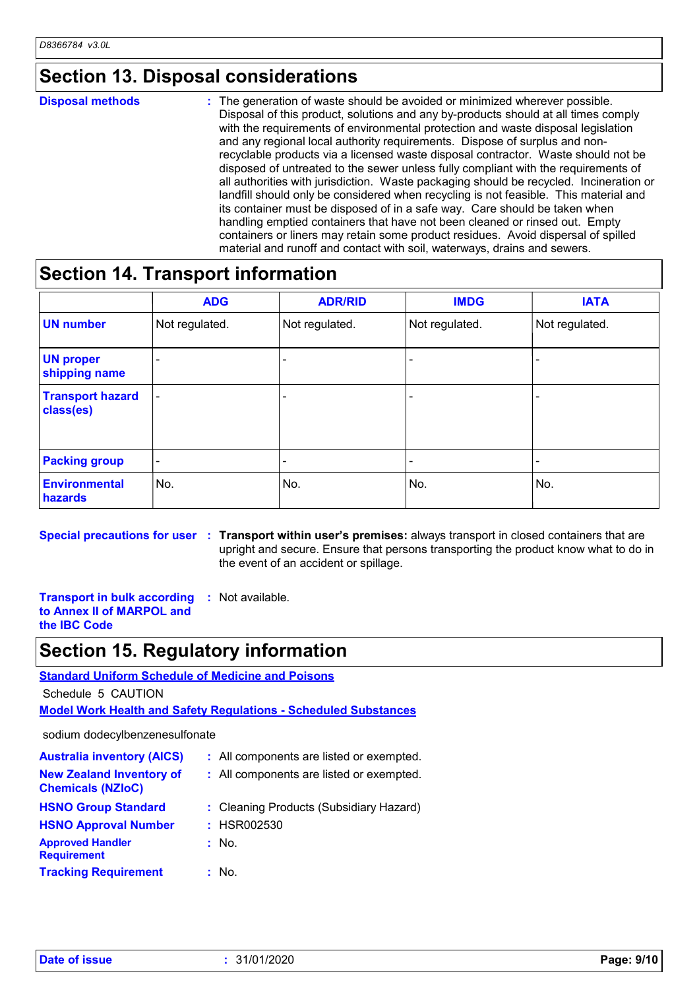### **Section 13. Disposal considerations**

#### The generation of waste should be avoided or minimized wherever possible. Disposal of this product, solutions and any by-products should at all times comply with the requirements of environmental protection and waste disposal legislation and any regional local authority requirements. Dispose of surplus and nonrecyclable products via a licensed waste disposal contractor. Waste should not be disposed of untreated to the sewer unless fully compliant with the requirements of all authorities with jurisdiction. Waste packaging should be recycled. Incineration or landfill should only be considered when recycling is not feasible. This material and its container must be disposed of in a safe way. Care should be taken when handling emptied containers that have not been cleaned or rinsed out. Empty containers or liners may retain some product residues. Avoid dispersal of spilled material and runoff and contact with soil, waterways, drains and sewers. **Disposal methods :**

### **Section 14. Transport information**

|                                      | <b>ADG</b>               | <b>ADR/RID</b> | <b>IMDG</b>    | <b>IATA</b>    |
|--------------------------------------|--------------------------|----------------|----------------|----------------|
| <b>UN number</b>                     | Not regulated.           | Not regulated. | Not regulated. | Not regulated. |
| <b>UN proper</b><br>shipping name    |                          |                |                |                |
| <b>Transport hazard</b><br>class(es) | $\overline{\phantom{a}}$ |                | -              |                |
| <b>Packing group</b>                 | $\overline{\phantom{a}}$ |                | -              |                |
| <b>Environmental</b><br>hazards      | No.                      | No.            | No.            | No.            |

**Special precautions for user Transport within user's premises:** always transport in closed containers that are **:** upright and secure. Ensure that persons transporting the product know what to do in the event of an accident or spillage.

**Transport in bulk according :** Not available. **to Annex II of MARPOL and the IBC Code**

### **Section 15. Regulatory information**

**Standard Uniform Schedule of Medicine and Poisons**

Schedule 5 CAUTION

**Model Work Health and Safety Regulations - Scheduled Substances**

sodium dodecylbenzenesulfonate

| <b>Australia inventory (AICS)</b>                           | : All components are listed or exempted. |
|-------------------------------------------------------------|------------------------------------------|
| <b>New Zealand Inventory of</b><br><b>Chemicals (NZIoC)</b> | : All components are listed or exempted. |
| <b>HSNO Group Standard</b>                                  | : Cleaning Products (Subsidiary Hazard)  |
| <b>HSNO Approval Number</b>                                 | : HSR002530                              |
| <b>Approved Handler</b><br><b>Requirement</b>               | : No.                                    |
| <b>Tracking Requirement</b>                                 | : No.                                    |